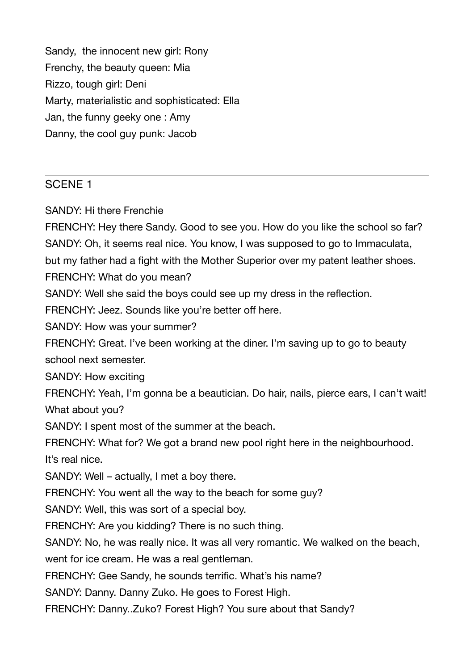Sandy, the innocent new girl: Rony Frenchy, the beauty queen: Mia Rizzo, tough girl: Deni Marty, materialistic and sophisticated: Ella Jan, the funny geeky one : Amy Danny, the cool guy punk: Jacob

### SCENE 1

SANDY: Hi there Frenchie

FRENCHY: Hey there Sandy. Good to see you. How do you like the school so far? SANDY: Oh, it seems real nice. You know, I was supposed to go to Immaculata, but my father had a fight with the Mother Superior over my patent leather shoes. FRENCHY: What do you mean? SANDY: Well she said the boys could see up my dress in the reflection. FRENCHY: Jeez. Sounds like you're better off here. SANDY: How was your summer? FRENCHY: Great. I've been working at the diner. I'm saving up to go to beauty school next semester. SANDY: How exciting FRENCHY: Yeah, I'm gonna be a beautician. Do hair, nails, pierce ears, I can't wait! What about you? SANDY: I spent most of the summer at the beach. FRENCHY: What for? We got a brand new pool right here in the neighbourhood. It's real nice. SANDY: Well – actually, I met a boy there. FRENCHY: You went all the way to the beach for some guy? SANDY: Well, this was sort of a special boy. FRENCHY: Are you kidding? There is no such thing. SANDY: No, he was really nice. It was all very romantic. We walked on the beach, went for ice cream. He was a real gentleman. FRENCHY: Gee Sandy, he sounds terrific. What's his name?

SANDY: Danny. Danny Zuko. He goes to Forest High.

FRENCHY: Danny..Zuko? Forest High? You sure about that Sandy?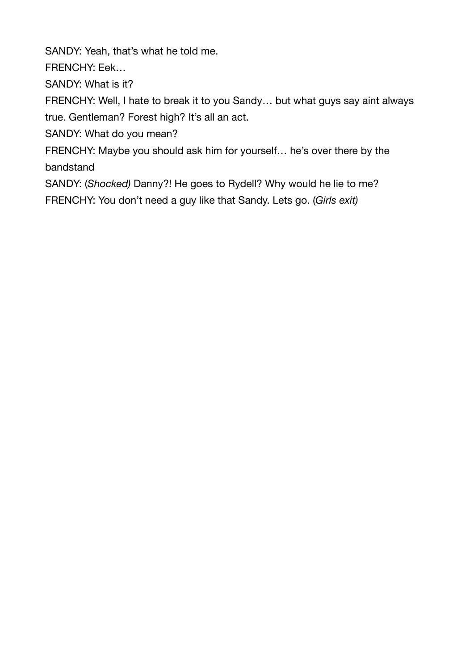SANDY: Yeah, that's what he told me.

FRENCHY: Eek…

SANDY: What is it?

FRENCHY: Well, I hate to break it to you Sandy… but what guys say aint always true. Gentleman? Forest high? It's all an act.

SANDY: What do you mean?

FRENCHY: Maybe you should ask him for yourself… he's over there by the bandstand

SANDY: (*Shocked)* Danny?! He goes to Rydell? Why would he lie to me?

FRENCHY: You don't need a guy like that Sandy. Lets go. (*Girls exit)*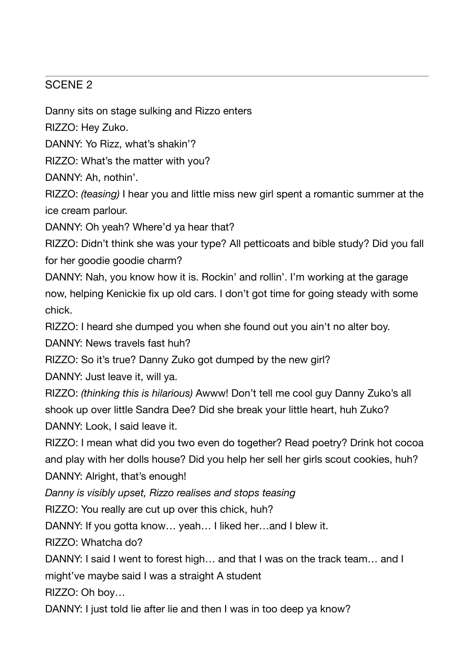Danny sits on stage sulking and Rizzo enters

RIZZO: Hey Zuko.

DANNY: Yo Rizz, what's shakin'?

RIZZO: What's the matter with you?

DANNY: Ah, nothin'.

RIZZO: *(teasing)* I hear you and little miss new girl spent a romantic summer at the ice cream parlour.

DANNY: Oh yeah? Where'd ya hear that?

RIZZO: Didn't think she was your type? All petticoats and bible study? Did you fall for her goodie goodie charm?

DANNY: Nah, you know how it is. Rockin' and rollin'. I'm working at the garage now, helping Kenickie fix up old cars. I don't got time for going steady with some chick.

RIZZO: I heard she dumped you when she found out you ain't no alter boy.

DANNY: News travels fast huh?

RIZZO: So it's true? Danny Zuko got dumped by the new girl?

DANNY: Just leave it, will ya.

RIZZO: *(thinking this is hilarious)* Awww! Don't tell me cool guy Danny Zuko's all shook up over little Sandra Dee? Did she break your little heart, huh Zuko? DANNY: Look, I said leave it.

RIZZO: I mean what did you two even do together? Read poetry? Drink hot cocoa and play with her dolls house? Did you help her sell her girls scout cookies, huh? DANNY: Alright, that's enough!

*Danny is visibly upset, Rizzo realises and stops teasing* 

RIZZO: You really are cut up over this chick, huh?

DANNY: If you gotta know... yeah... I liked her...and I blew it.

RIZZO: Whatcha do?

DANNY: I said I went to forest high… and that I was on the track team… and I

might've maybe said I was a straight A student

RIZZO: Oh boy…

DANNY: I just told lie after lie and then I was in too deep ya know?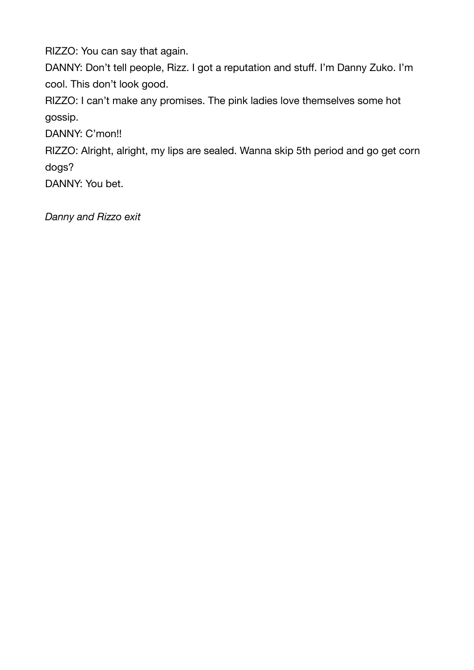RIZZO: You can say that again.

DANNY: Don't tell people, Rizz. I got a reputation and stuff. I'm Danny Zuko. I'm cool. This don't look good.

RIZZO: I can't make any promises. The pink ladies love themselves some hot gossip.

DANNY: C'mon!!

RIZZO: Alright, alright, my lips are sealed. Wanna skip 5th period and go get corn dogs?

DANNY: You bet.

*Danny and Rizzo exit*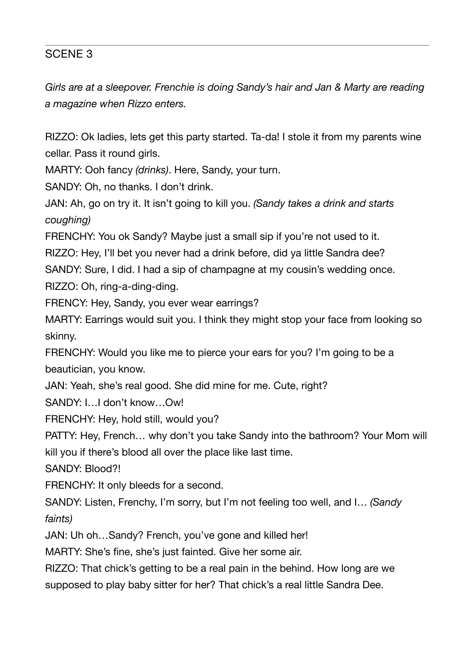*Girls are at a sleepover. Frenchie is doing Sandy's hair and Jan & Marty are reading a magazine when Rizzo enters.* 

RIZZO: Ok ladies, lets get this party started. Ta-da! I stole it from my parents wine cellar. Pass it round girls.

MARTY: Ooh fancy *(drinks)*. Here, Sandy, your turn.

SANDY: Oh, no thanks. I don't drink.

JAN: Ah, go on try it. It isn't going to kill you. *(Sandy takes a drink and starts coughing)* 

FRENCHY: You ok Sandy? Maybe just a small sip if you're not used to it.

RIZZO: Hey, I'll bet you never had a drink before, did ya little Sandra dee?

SANDY: Sure, I did. I had a sip of champagne at my cousin's wedding once.

RIZZO: Oh, ring-a-ding-ding.

FRENCY: Hey, Sandy, you ever wear earrings?

MARTY: Earrings would suit you. I think they might stop your face from looking so skinny.

FRENCHY: Would you like me to pierce your ears for you? I'm going to be a beautician, you know.

JAN: Yeah, she's real good. She did mine for me. Cute, right?

SANDY: I…I don't know…Ow!

FRENCHY: Hey, hold still, would you?

PATTY: Hey, French… why don't you take Sandy into the bathroom? Your Mom will kill you if there's blood all over the place like last time.

SANDY: Blood?!

FRENCHY: It only bleeds for a second.

SANDY: Listen, Frenchy, I'm sorry, but I'm not feeling too well, and I… *(Sandy faints)*

JAN: Uh oh…Sandy? French, you've gone and killed her!

MARTY: She's fine, she's just fainted. Give her some air.

RIZZO: That chick's getting to be a real pain in the behind. How long are we

supposed to play baby sitter for her? That chick's a real little Sandra Dee.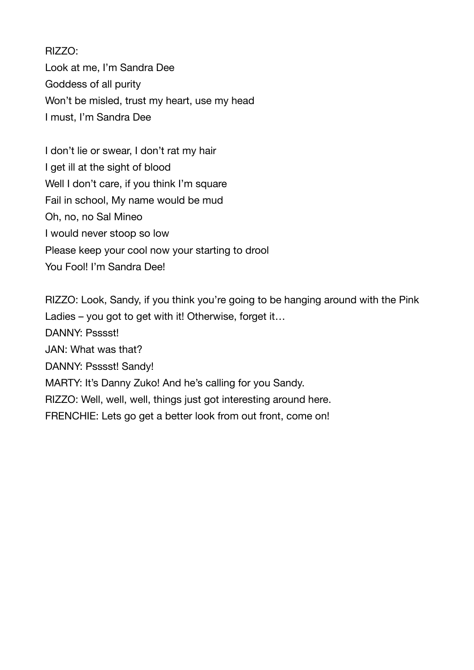RIZZO: Look at me, I'm Sandra Dee Goddess of all purity Won't be misled, trust my heart, use my head I must, I'm Sandra Dee

I don't lie or swear, I don't rat my hair I get ill at the sight of blood Well I don't care, if you think I'm square Fail in school, My name would be mud Oh, no, no Sal Mineo I would never stoop so low Please keep your cool now your starting to drool You Fool! I'm Sandra Dee!

RIZZO: Look, Sandy, if you think you're going to be hanging around with the Pink Ladies – you got to get with it! Otherwise, forget it... DANNY: Psssst! JAN: What was that? DANNY: Psssst! Sandy! MARTY: It's Danny Zuko! And he's calling for you Sandy. RIZZO: Well, well, well, things just got interesting around here. FRENCHIE: Lets go get a better look from out front, come on!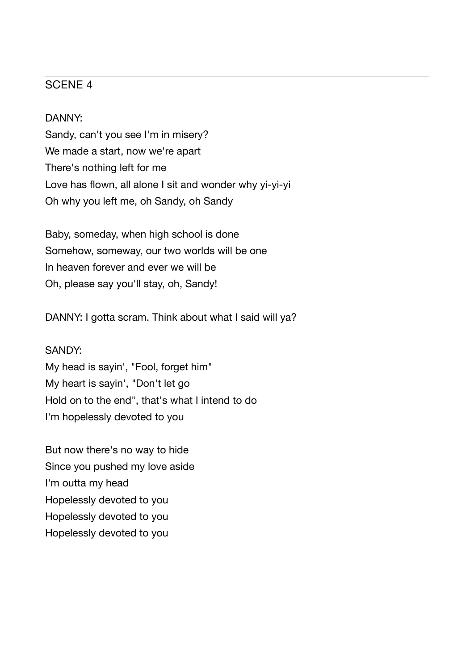#### DANNY:

Sandy, can't you see I'm in misery? We made a start, now we're apart There's nothing left for me Love has flown, all alone I sit and wonder why yi-yi-yi Oh why you left me, oh Sandy, oh Sandy

Baby, someday, when high school is done Somehow, someway, our two worlds will be one In heaven forever and ever we will be Oh, please say you'll stay, oh, Sandy!

DANNY: I gotta scram. Think about what I said will ya?

#### SANDY:

My head is sayin', "Fool, forget him" My heart is sayin', "Don't let go Hold on to the end", that's what I intend to do I'm hopelessly devoted to you

But now there's no way to hide Since you pushed my love aside I'm outta my head Hopelessly devoted to you Hopelessly devoted to you Hopelessly devoted to you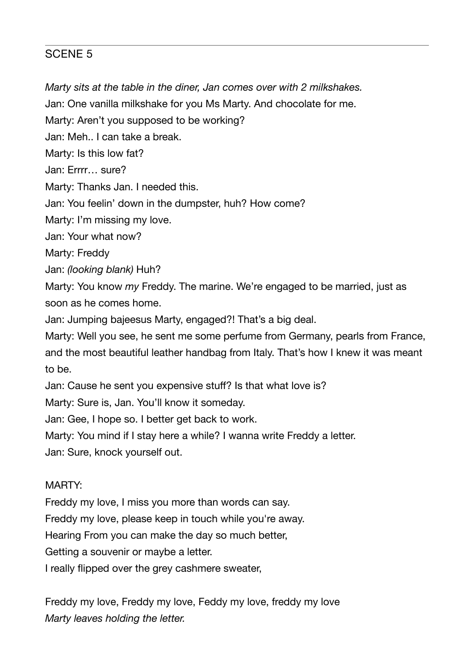*Marty sits at the table in the diner, Jan comes over with 2 milkshakes.* 

Jan: One vanilla milkshake for you Ms Marty. And chocolate for me.

Marty: Aren't you supposed to be working?

Jan: Meh.. I can take a break.

Marty: Is this low fat?

Jan: Errrr… sure?

Marty: Thanks Jan. I needed this.

Jan: You feelin' down in the dumpster, huh? How come?

Marty: I'm missing my love.

Jan: Your what now?

Marty: Freddy

Jan: *(looking blank)* Huh?

Marty: You know *my* Freddy. The marine. We're engaged to be married, just as soon as he comes home.

Jan: Jumping bajeesus Marty, engaged?! That's a big deal.

Marty: Well you see, he sent me some perfume from Germany, pearls from France, and the most beautiful leather handbag from Italy. That's how I knew it was meant to be.

Jan: Cause he sent you expensive stuff? Is that what love is?

Marty: Sure is, Jan. You'll know it someday.

Jan: Gee, I hope so. I better get back to work.

Marty: You mind if I stay here a while? I wanna write Freddy a letter.

Jan: Sure, knock yourself out.

### MARTY:

Freddy my love, I miss you more than words can say.

Freddy my love, please keep in touch while you're away.

Hearing From you can make the day so much better,

Getting a souvenir or maybe a letter.

I really flipped over the grey cashmere sweater,

Freddy my love, Freddy my love, Feddy my love, freddy my love *Marty leaves holding the letter.*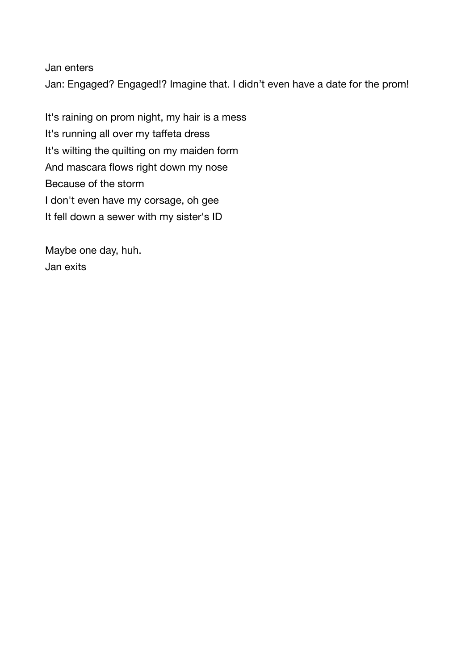Jan enters

Jan: Engaged? Engaged!? Imagine that. I didn't even have a date for the prom!

It's raining on prom night, my hair is a mess It's running all over my taffeta dress It's wilting the quilting on my maiden form And mascara flows right down my nose Because of the storm I don't even have my corsage, oh gee It fell down a sewer with my sister's ID

Maybe one day, huh. Jan exits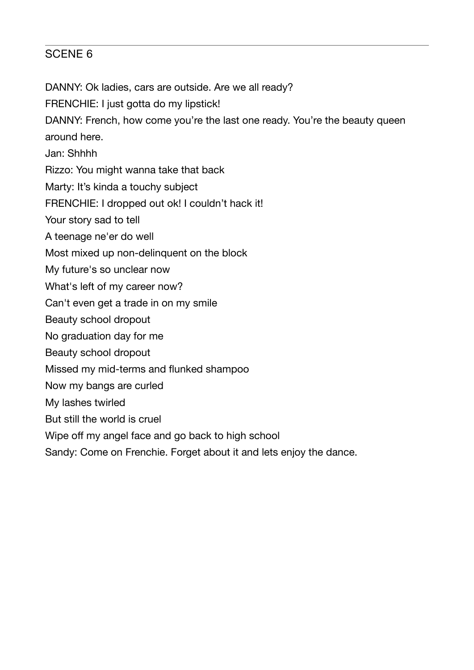DANNY: Ok ladies, cars are outside. Are we all ready?

FRENCHIE: I just gotta do my lipstick!

DANNY: French, how come you're the last one ready. You're the beauty queen

around here.

Jan: Shhhh

Rizzo: You might wanna take that back

Marty: It's kinda a touchy subject

FRENCHIE: I dropped out ok! I couldn't hack it!

Your story sad to tell

A teenage ne'er do well

Most mixed up non-delinquent on the block

My future's so unclear now

What's left of my career now?

Can't even get a trade in on my smile

Beauty school dropout

No graduation day for me

Beauty school dropout

Missed my mid-terms and flunked shampoo

Now my bangs are curled

My lashes twirled

But still the world is cruel

Wipe off my angel face and go back to high school

Sandy: Come on Frenchie. Forget about it and lets enjoy the dance.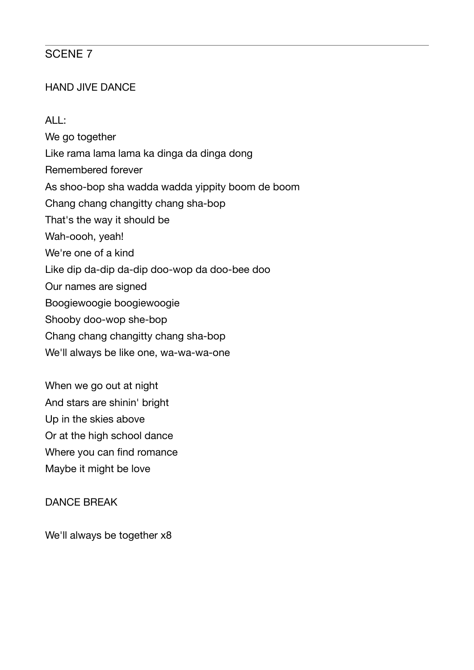### HAND JIVE DANCE

ALL:

We go together Like rama lama lama ka dinga da dinga dong Remembered forever As shoo-bop sha wadda wadda yippity boom de boom Chang chang changitty chang sha-bop That's the way it should be Wah-oooh, yeah! We're one of a kind Like dip da-dip da-dip doo-wop da doo-bee doo Our names are signed Boogiewoogie boogiewoogie Shooby doo-wop she-bop Chang chang changitty chang sha-bop

We'll always be like one, wa-wa-wa-one

When we go out at night And stars are shinin' bright Up in the skies above Or at the high school dance Where you can find romance Maybe it might be love

### DANCE BREAK

We'll always be together x8